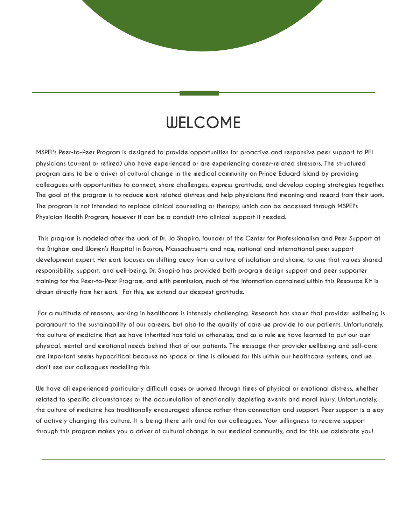## **WELCOME**

**MSPEI's Peer-to-Peer Program is designed to provide opportunities for proactive and responsive peer support to PEI physicians (current or retired) who have experienced or are experiencing career-related stressors. The structured program aims to be a driver of cultural change in the medical community on Prince Edward Island by providing colleagues with opportunities to connect, share challenges, express gratitude, and develop coping strategies together. The goal of the program is to reduce work related distress and help physicians find meaning and reward from their work. The program is not intended to replace clinical counseling or therapy, which can be accessed through MSPEI's Physician Health Program, however it can be a conduit into clinical support if needed.**

 **This program is modeled after the work of Dr. Jo Shapiro, founder of the Center for Professionalism and Peer Support at the Brigham and Women's Hospital in Boston, Massachusetts and now, national and international peer support development expert. Her work focuses on shifting away from a culture of isolation and shame, to one that values shared responsibility, support, and well-being. Dr. Shapiro has provided both program design support and peer supporter training for the Peer-to-Peer Program, and with permission, much of the information contained within this Resource Kit is drawn directly from her work. For this, we extend our deepest gratitude.**

 **For a multitude of reasons, working in healthcare is intensely challenging. Research has shown that provider wellbeing is paramount to the sustainability of our careers, but also to the quality of care we provide to our patients. Unfortunately, the culture of medicine that we have inherited has told us otherwise, and as a rule we have learned to put our own physical, mental and emotional needs behind that of our patients. The message that provider wellbeing and self-care are important seems hypocritical because no space or time is allowed for this within our healthcare systems, and we don't see our colleagues modelling this.**

**We have all experienced particularly difficult cases or worked through times of physical or emotional distress, whether related to specific circumstances or the accumulation of emotionally depleting events and moral injury. Unfortunately, the culture of medicine has traditionally encouraged silence rather than connection and support. Peer support is a way of actively changing this culture. It is being there with and for our colleagues. Your willingness to receive support through this program makes you a driver of cultural change in our medical community, and for this we celebrate you!**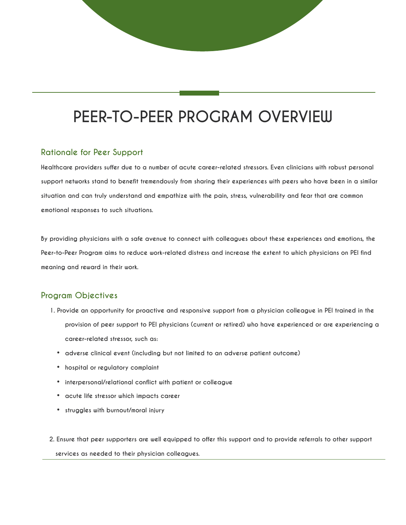# **PEER-TO-PEER PROGRAM OVERVIEW**

### **Rationale for Peer Support**

**Healthcare providers suffer due to a number of acute career-related stressors. Even clinicians with robust personal support networks stand to benefit tremendously from sharing their experiences with peers who have been in a similar situation and can truly understand and empathize with the pain, stress, vulnerability and fear that are common emotional responses to such situations.**

**By providing physicians with a safe avenue to connect with colleagues about these experiences and emotions, the Peer-to-Peer Program aims to reduce work-related distress and increase the extent to which physicians on PEI find meaning and reward in their work.**

## **Program Objectives**

- **1. Provide an opportunity for proactive and responsive support from a physician colleague in PEI trained in the provision of peer support to PEI physicians (current or retired) who have experienced or are experiencing a career-related stressor, such as:**
	- **adverse clinical event (including but not limited to an adverse patient outcome)**
	- **hospital or regulatory complaint**
	- **interpersonal/relational conflict with patient or colleague**
	- **acute life stressor which impacts career**
	- **struggles with burnout/moral injury**

 **2. Ensure that peer supporters are well equipped to offer this support and to provide referrals to other support services as needed to their physician colleagues.**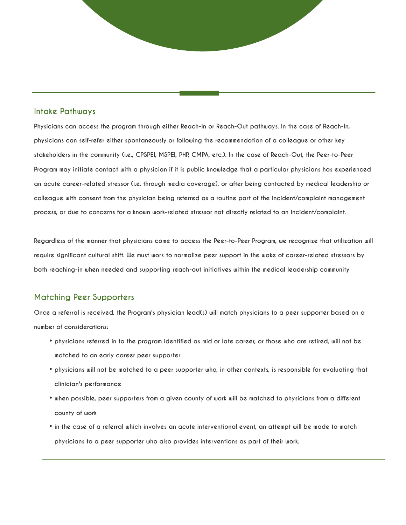#### **Intake Pathways**

**Physicians can access the program through either Reach-In or Reach-Out pathways. In the case of Reach-In, physicians can self-refer either spontaneously or following the recommendation of a colleague or other key stakeholders in the community (i.e., CPSPEI, MSPEI, PHP, CMPA, etc.). In the case of Reach-Out, the Peer-to-Peer Program may initiate contact with a physician if it is public knowledge that a particular physicians has experienced an acute career-related stressor (i.e. through media coverage), or after being contacted by medical leadership or colleague with consent from the physician being referred as a routine part of the incident/complaint management process, or due to concerns for a known work-related stressor not directly related to an incident/complaint.**

**Regardless of the manner that physicians come to access the Peer-to-Peer Program, we recognize that utilization will require significant cultural shift. We must work to normalize peer support in the wake of career-related stressors by both reaching-in when needed and supporting reach-out initiatives within the medical leadership community**

#### **Matching Peer Supporters**

**Once a referral is received, the Program's physician lead(s) will match physicians to a peer supporter based on a number of considerations:**

- **physicians referred in to the program identified as mid or late career, or those who are retired, will not be matched to an early career peer supporter**
- **physicians will not be matched to a peer supporter who, in other contexts, is responsible for evaluating that clinician's performance**
- **when possible, peer supporters from a given county of work will be matched to physicians from a different county of work**
- **in the case of a referral which involves an acute interventional event, an attempt will be made to match physicians to a peer supporter who also provides interventions as part of their work.**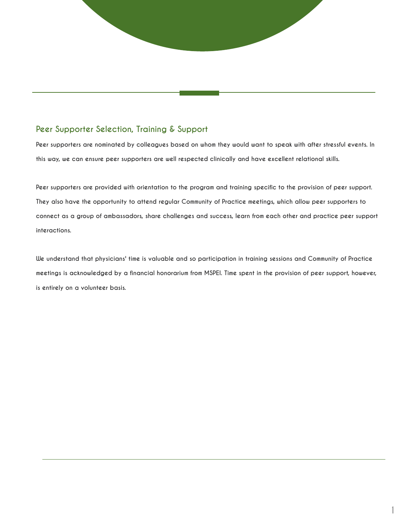## **Peer Supporter Selection, Training & Support**

**Peer supporters are nominated by colleagues based on whom they would want to speak with after stressful events. In this way, we can ensure peer supporters are well respected clinically and have excellent relational skills.**

**Peer supporters are provided with orientation to the program and training specific to the provision of peer support. They also have the opportunity to attend regular Community of Practice meetings, which allow peer supporters to connect as a group of ambassadors, share challenges and success, learn from each other and practice peer support interactions.**

**We understand that physicians' time is valuable and so participation in training sessions and Community of Practice meetings is acknowledged by a financial honorarium from MSPEI. Time spent in the provision of peer support, however, is entirely on a volunteer basis.**